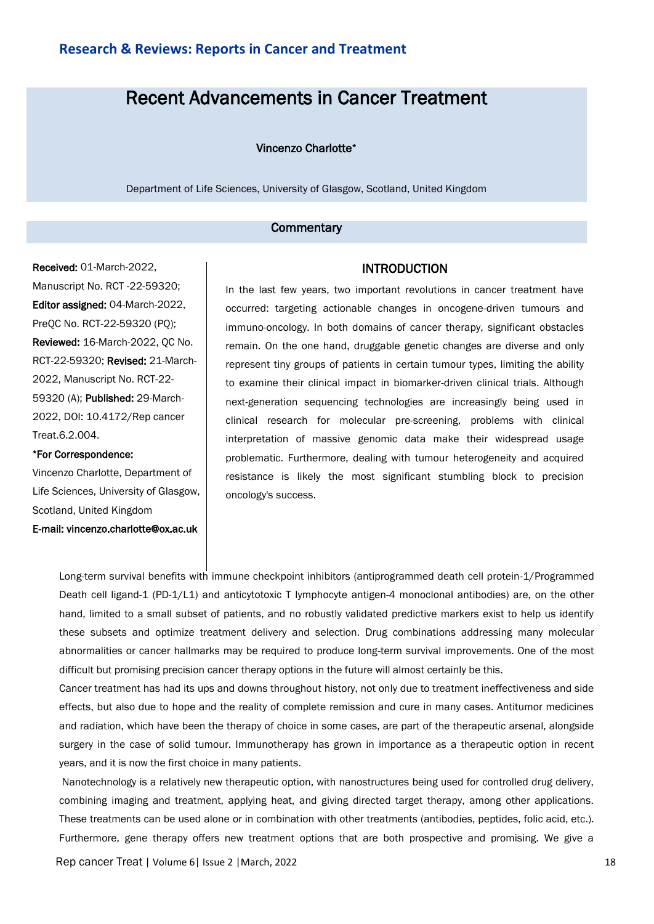# Recent Advancements in Cancer Treatment

#### Vincenzo Charlotte\*

Department of Life Sciences, University of Glasgow, Scotland, United Kingdom

### **Commentary**

Received: 01-March-2022, Manuscript No. RCT -22-59320; Editor assigned: 04-March-2022, PreQC No. RCT-22-59320 (PQ); Reviewed: 16-March-2022, QC No. RCT-22-59320; Revised: 21-March-2022, Manuscript No. RCT-22- 59320 (A); Published: 29-March-2022, DOI: 10.4172/Rep cancer Treat.6.2.004.

#### \*For Correspondence:

Vincenzo Charlotte, Department of Life Sciences, University of Glasgow, Scotland, United Kingdom

E-mail: vincenzo.charlotte@ox.ac.uk

#### INTRODUCTION

In the last few years, two important revolutions in cancer treatment have occurred: targeting actionable changes in oncogene-driven tumours and immuno-oncology. In both domains of cancer therapy, significant obstacles remain. On the one hand, druggable genetic changes are diverse and only represent tiny groups of patients in certain tumour types, limiting the ability to examine their clinical impact in biomarker-driven clinical trials. Although next-generation sequencing technologies are increasingly being used in clinical research for molecular pre-screening, problems with clinical interpretation of massive genomic data make their widespread usage problematic. Furthermore, dealing with tumour heterogeneity and acquired resistance is likely the most significant stumbling block to precision oncology's success.

Long-term survival benefits with immune checkpoint inhibitors (antiprogrammed death cell protein-1/Programmed Death cell ligand-1 (PD-1/L1) and anticytotoxic T lymphocyte antigen-4 monoclonal antibodies) are, on the other hand, limited to a small subset of patients, and no robustly validated predictive markers exist to help us identify these subsets and optimize treatment delivery and selection. Drug combinations addressing many molecular abnormalities or cancer hallmarks may be required to produce long-term survival improvements. One of the most difficult but promising precision cancer therapy options in the future will almost certainly be this.

Cancer treatment has had its ups and downs throughout history, not only due to treatment ineffectiveness and side effects, but also due to hope and the reality of complete remission and cure in many cases. Antitumor medicines and radiation, which have been the therapy of choice in some cases, are part of the therapeutic arsenal, alongside surgery in the case of solid tumour. Immunotherapy has grown in importance as a therapeutic option in recent years, and it is now the first choice in many patients.

Nanotechnology is a relatively new therapeutic option, with nanostructures being used for controlled drug delivery, combining imaging and treatment, applying heat, and giving directed target therapy, among other applications. These treatments can be used alone or in combination with other treatments (antibodies, peptides, folic acid, etc.). Furthermore, gene therapy offers new treatment options that are both prospective and promising. We give a

Rep cancer Treat | Volume 6| Issue 2 |March, 2022 18